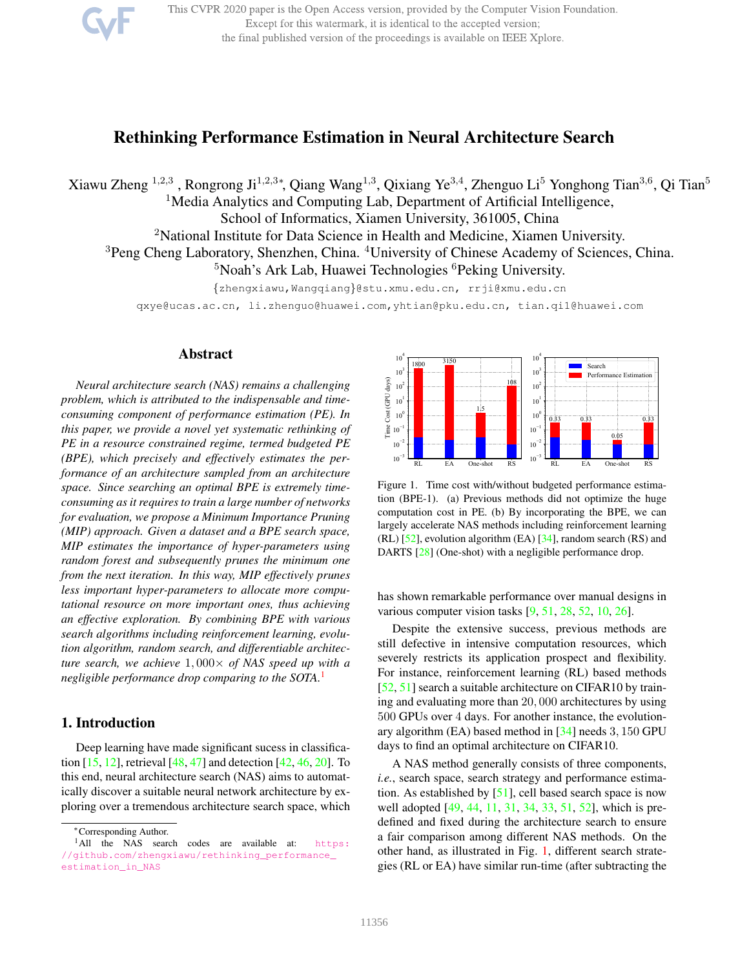

This CVPR 2020 paper is the Open Access version, provided by the Computer Vision Foundation. Except for this watermark, it is identical to the accepted version; the final published version of the proceedings is available on IEEE Xplore.

# Rethinking Performance Estimation in Neural Architecture Search

Xiawu Zheng <sup>1,2,3</sup>, Rongrong Ji<sup>1,2,3</sup>\*, Qiang Wang<sup>1,3</sup>, Qixiang Ye<sup>3,4</sup>, Zhenguo Li<sup>5</sup> Yonghong Tian<sup>3,6</sup>, Qi Tian<sup>5</sup> <sup>1</sup>Media Analytics and Computing Lab, Department of Artificial Intelligence, School of Informatics, Xiamen University, 361005, China <sup>2</sup>National Institute for Data Science in Health and Medicine, Xiamen University.

<sup>3</sup>Peng Cheng Laboratory, Shenzhen, China. <sup>4</sup>University of Chinese Academy of Sciences, China.

 $5$ Noah's Ark Lab, Huawei Technologies  $6$ Peking University.

{zhengxiawu,Wangqiang}@stu.xmu.edu.cn, rrji@xmu.edu.cn

qxye@ucas.ac.cn, li.zhenguo@huawei.com,yhtian@pku.edu.cn, tian.qi1@huawei.com

## Abstract

*Neural architecture search (NAS) remains a challenging problem, which is attributed to the indispensable and timeconsuming component of performance estimation (PE). In this paper, we provide a novel yet systematic rethinking of PE in a resource constrained regime, termed budgeted PE (BPE), which precisely and effectively estimates the performance of an architecture sampled from an architecture space. Since searching an optimal BPE is extremely timeconsuming as it requires to train a large number of networks for evaluation, we propose a Minimum Importance Pruning (MIP) approach. Given a dataset and a BPE search space, MIP estimates the importance of hyper-parameters using random forest and subsequently prunes the minimum one from the next iteration. In this way, MIP effectively prunes less important hyper-parameters to allocate more computational resource on more important ones, thus achieving an effective exploration. By combining BPE with various search algorithms including reinforcement learning, evolution algorithm, random search, and differentiable architecture search, we achieve* 1, 000× *of NAS speed up with a negligible performance drop comparing to the SOTA.*<sup>1</sup>

# 1. Introduction

Deep learning have made significant sucess in classification [15, 12], retrieval [48, 47] and detection [42, 46, 20]. To this end, neural architecture search (NAS) aims to automatically discover a suitable neural network architecture by exploring over a tremendous architecture search space, which



Figure 1. Time cost with/without budgeted performance estimation (BPE-1). (a) Previous methods did not optimize the huge computation cost in PE. (b) By incorporating the BPE, we can largely accelerate NAS methods including reinforcement learning (RL) [52], evolution algorithm (EA) [34], random search (RS) and DARTS [28] (One-shot) with a negligible performance drop.

has shown remarkable performance over manual designs in various computer vision tasks [9, 51, 28, 52, 10, 26].

Despite the extensive success, previous methods are still defective in intensive computation resources, which severely restricts its application prospect and flexibility. For instance, reinforcement learning (RL) based methods [52, 51] search a suitable architecture on CIFAR10 by training and evaluating more than 20, 000 architectures by using 500 GPUs over 4 days. For another instance, the evolutionary algorithm (EA) based method in [34] needs 3, 150 GPU days to find an optimal architecture on CIFAR10.

A NAS method generally consists of three components, *i.e.*, search space, search strategy and performance estimation. As established by [51], cell based search space is now well adopted [49, 44, 11, 31, 34, 33, 51, 52], which is predefined and fixed during the architecture search to ensure a fair comparison among different NAS methods. On the other hand, as illustrated in Fig. 1, different search strategies (RL or EA) have similar run-time (after subtracting the

<sup>∗</sup>Corresponding Author.

<sup>&</sup>lt;sup>1</sup>All the NAS search codes are available at: https: //github.com/zhengxiawu/rethinking\_performance\_ estimation\_in\_NAS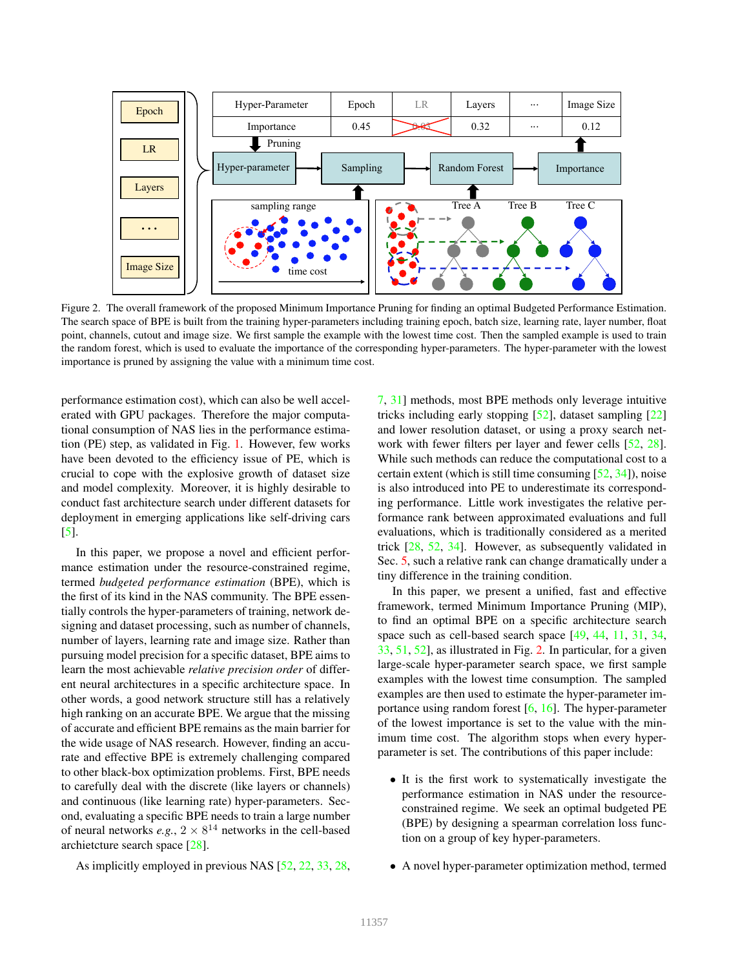

Figure 2. The overall framework of the proposed Minimum Importance Pruning for finding an optimal Budgeted Performance Estimation. The search space of BPE is built from the training hyper-parameters including training epoch, batch size, learning rate, layer number, float point, channels, cutout and image size. We first sample the example with the lowest time cost. Then the sampled example is used to train the random forest, which is used to evaluate the importance of the corresponding hyper-parameters. The hyper-parameter with the lowest importance is pruned by assigning the value with a minimum time cost.

performance estimation cost), which can also be well accelerated with GPU packages. Therefore the major computational consumption of NAS lies in the performance estimation (PE) step, as validated in Fig. 1. However, few works have been devoted to the efficiency issue of PE, which is crucial to cope with the explosive growth of dataset size and model complexity. Moreover, it is highly desirable to conduct fast architecture search under different datasets for deployment in emerging applications like self-driving cars [5].

In this paper, we propose a novel and efficient performance estimation under the resource-constrained regime, termed *budgeted performance estimation* (BPE), which is the first of its kind in the NAS community. The BPE essentially controls the hyper-parameters of training, network designing and dataset processing, such as number of channels, number of layers, learning rate and image size. Rather than pursuing model precision for a specific dataset, BPE aims to learn the most achievable *relative precision order* of different neural architectures in a specific architecture space. In other words, a good network structure still has a relatively high ranking on an accurate BPE. We argue that the missing of accurate and efficient BPE remains as the main barrier for the wide usage of NAS research. However, finding an accurate and effective BPE is extremely challenging compared to other black-box optimization problems. First, BPE needs to carefully deal with the discrete (like layers or channels) and continuous (like learning rate) hyper-parameters. Second, evaluating a specific BPE needs to train a large number of neural networks  $e.g., 2 \times 8^{14}$  networks in the cell-based archietcture search space [28].

As implicitly employed in previous NAS [52, 22, 33, 28,

7, 31] methods, most BPE methods only leverage intuitive tricks including early stopping [52], dataset sampling [22] and lower resolution dataset, or using a proxy search network with fewer filters per layer and fewer cells [52, 28]. While such methods can reduce the computational cost to a certain extent (which is still time consuming  $[52, 34]$ ), noise is also introduced into PE to underestimate its corresponding performance. Little work investigates the relative performance rank between approximated evaluations and full evaluations, which is traditionally considered as a merited trick [28, 52, 34]. However, as subsequently validated in Sec. 5, such a relative rank can change dramatically under a tiny difference in the training condition.

In this paper, we present a unified, fast and effective framework, termed Minimum Importance Pruning (MIP), to find an optimal BPE on a specific architecture search space such as cell-based search space [49, 44, 11, 31, 34, 33, 51, 52], as illustrated in Fig. 2. In particular, for a given large-scale hyper-parameter search space, we first sample examples with the lowest time consumption. The sampled examples are then used to estimate the hyper-parameter importance using random forest  $[6, 16]$ . The hyper-parameter of the lowest importance is set to the value with the minimum time cost. The algorithm stops when every hyperparameter is set. The contributions of this paper include:

- It is the first work to systematically investigate the performance estimation in NAS under the resourceconstrained regime. We seek an optimal budgeted PE (BPE) by designing a spearman correlation loss function on a group of key hyper-parameters.
- A novel hyper-parameter optimization method, termed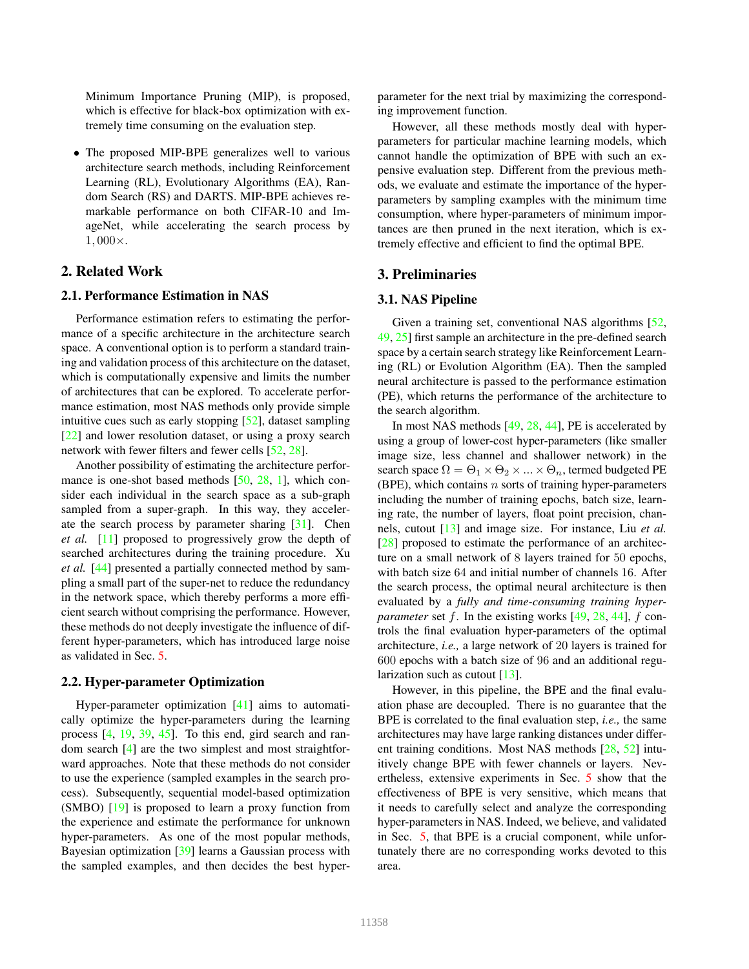Minimum Importance Pruning (MIP), is proposed, which is effective for black-box optimization with extremely time consuming on the evaluation step.

• The proposed MIP-BPE generalizes well to various architecture search methods, including Reinforcement Learning (RL), Evolutionary Algorithms (EA), Random Search (RS) and DARTS. MIP-BPE achieves remarkable performance on both CIFAR-10 and ImageNet, while accelerating the search process by 1, 000×.

# 2. Related Work

## 2.1. Performance Estimation in NAS

Performance estimation refers to estimating the performance of a specific architecture in the architecture search space. A conventional option is to perform a standard training and validation process of this architecture on the dataset, which is computationally expensive and limits the number of architectures that can be explored. To accelerate performance estimation, most NAS methods only provide simple intuitive cues such as early stopping [52], dataset sampling [22] and lower resolution dataset, or using a proxy search network with fewer filters and fewer cells [52, 28].

Another possibility of estimating the architecture performance is one-shot based methods [50, 28, 1], which consider each individual in the search space as a sub-graph sampled from a super-graph. In this way, they accelerate the search process by parameter sharing [31]. Chen *et al.* [11] proposed to progressively grow the depth of searched architectures during the training procedure. Xu *et al.* [44] presented a partially connected method by sampling a small part of the super-net to reduce the redundancy in the network space, which thereby performs a more efficient search without comprising the performance. However, these methods do not deeply investigate the influence of different hyper-parameters, which has introduced large noise as validated in Sec. 5.

#### 2.2. Hyper-parameter Optimization

Hyper-parameter optimization [41] aims to automatically optimize the hyper-parameters during the learning process [4, 19, 39, 45]. To this end, gird search and random search [4] are the two simplest and most straightforward approaches. Note that these methods do not consider to use the experience (sampled examples in the search process). Subsequently, sequential model-based optimization (SMBO) [19] is proposed to learn a proxy function from the experience and estimate the performance for unknown hyper-parameters. As one of the most popular methods, Bayesian optimization [39] learns a Gaussian process with the sampled examples, and then decides the best hyperparameter for the next trial by maximizing the corresponding improvement function.

However, all these methods mostly deal with hyperparameters for particular machine learning models, which cannot handle the optimization of BPE with such an expensive evaluation step. Different from the previous methods, we evaluate and estimate the importance of the hyperparameters by sampling examples with the minimum time consumption, where hyper-parameters of minimum importances are then pruned in the next iteration, which is extremely effective and efficient to find the optimal BPE.

# 3. Preliminaries

#### 3.1. NAS Pipeline

Given a training set, conventional NAS algorithms [52, 49, 25] first sample an architecture in the pre-defined search space by a certain search strategy like Reinforcement Learning (RL) or Evolution Algorithm (EA). Then the sampled neural architecture is passed to the performance estimation (PE), which returns the performance of the architecture to the search algorithm.

In most NAS methods [49, 28, 44], PE is accelerated by using a group of lower-cost hyper-parameters (like smaller image size, less channel and shallower network) in the search space  $\Omega = \Theta_1 \times \Theta_2 \times ... \times \Theta_n$ , termed budgeted PE (BPE), which contains  $n$  sorts of training hyper-parameters including the number of training epochs, batch size, learning rate, the number of layers, float point precision, channels, cutout [13] and image size. For instance, Liu *et al.* [28] proposed to estimate the performance of an architecture on a small network of 8 layers trained for 50 epochs, with batch size 64 and initial number of channels 16. After the search process, the optimal neural architecture is then evaluated by a *fully and time-consuming training hyperparameter* set f. In the existing works [49, 28, 44], f controls the final evaluation hyper-parameters of the optimal architecture, *i.e.,* a large network of 20 layers is trained for 600 epochs with a batch size of 96 and an additional regularization such as cutout [13].

However, in this pipeline, the BPE and the final evaluation phase are decoupled. There is no guarantee that the BPE is correlated to the final evaluation step, *i.e.,* the same architectures may have large ranking distances under different training conditions. Most NAS methods [28, 52] intuitively change BPE with fewer channels or layers. Nevertheless, extensive experiments in Sec. 5 show that the effectiveness of BPE is very sensitive, which means that it needs to carefully select and analyze the corresponding hyper-parameters in NAS. Indeed, we believe, and validated in Sec. 5, that BPE is a crucial component, while unfortunately there are no corresponding works devoted to this area.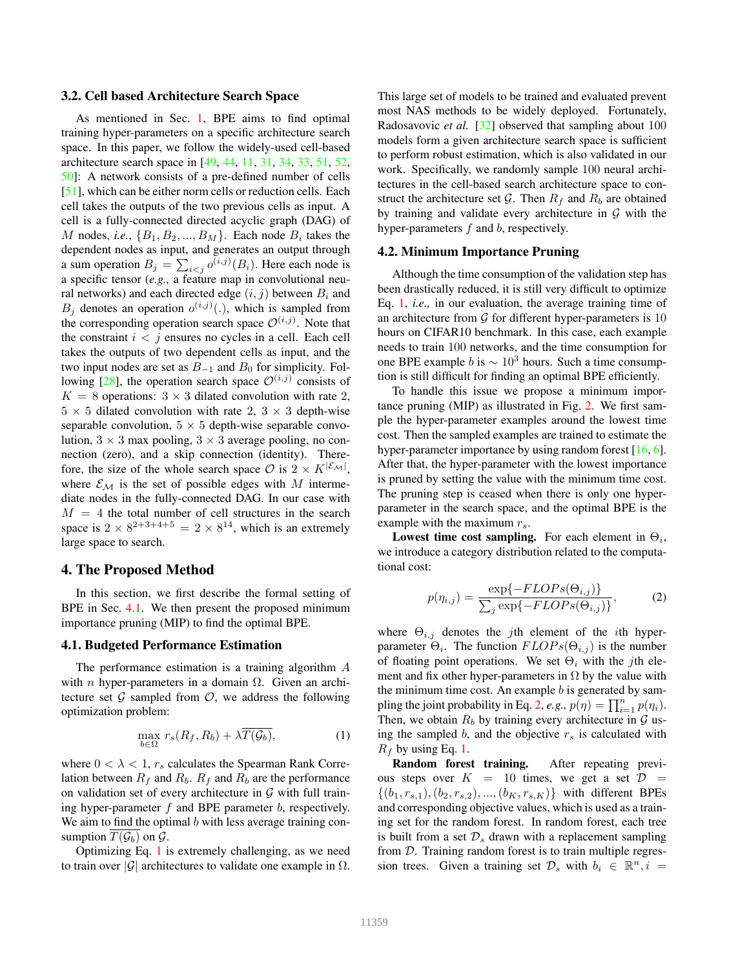## 3.2. Cell based Architecture Search Space

As mentioned in Sec. 1, BPE aims to find optimal training hyper-parameters on a specific architecture search space. In this paper, we follow the widely-used cell-based architecture search space in [49, 44, 11, 31, 34, 33, 51, 52, 50]: A network consists of a pre-defined number of cells [51], which can be either norm cells or reduction cells. Each cell takes the outputs of the two previous cells as input. A cell is a fully-connected directed acyclic graph (DAG) of M nodes, *i.e.*,  $\{B_1, B_2, ..., B_M\}$ . Each node  $B_i$  takes the dependent nodes as input, and generates an output through a sum operation  $B_j = \sum_{i < j} o^{(i,j)}(B_i)$ . Here each node is a specific tensor (*e.g.,* a feature map in convolutional neural networks) and each directed edge  $(i, j)$  between  $B_i$  and  $B_j$  denotes an operation  $o^{(i,j)}(.)$ , which is sampled from the corresponding operation search space  $\mathcal{O}^{(i,j)}$ . Note that the constraint  $i < j$  ensures no cycles in a cell. Each cell takes the outputs of two dependent cells as input, and the two input nodes are set as  $B_{-1}$  and  $B_0$  for simplicity. Following [28], the operation search space  $\mathcal{O}^{(i,j)}$  consists of  $K = 8$  operations:  $3 \times 3$  dilated convolution with rate 2,  $5 \times 5$  dilated convolution with rate 2,  $3 \times 3$  depth-wise separable convolution,  $5 \times 5$  depth-wise separable convolution,  $3 \times 3$  max pooling,  $3 \times 3$  average pooling, no connection (zero), and a skip connection (identity). Therefore, the size of the whole search space  $\mathcal{O}$  is  $2 \times K^{|\mathcal{E}_{\mathcal{M}}|}$ , where  $\mathcal{E}_{\mathcal{M}}$  is the set of possible edges with M intermediate nodes in the fully-connected DAG. In our case with  $M = 4$  the total number of cell structures in the search space is  $2 \times 8^{2+3+4+5} = 2 \times 8^{14}$ , which is an extremely large space to search.

## 4. The Proposed Method

In this section, we first describe the formal setting of BPE in Sec. 4.1. We then present the proposed minimum importance pruning (MIP) to find the optimal BPE.

## 4.1. Budgeted Performance Estimation

The performance estimation is a training algorithm A with *n* hyper-parameters in a domain  $\Omega$ . Given an architecture set  $\mathcal G$  sampled from  $\mathcal O$ , we address the following optimization problem:

$$
\max_{b \in \Omega} r_s(R_f, R_b) + \lambda \overline{T(\mathcal{G}_b)},\tag{1}
$$

where  $0 < \lambda < 1$ ,  $r_s$  calculates the Spearman Rank Correlation between  $R_f$  and  $R_b$ .  $R_f$  and  $R_b$  are the performance on validation set of every architecture in  $G$  with full training hyper-parameter  $f$  and BPE parameter  $b$ , respectively. We aim to find the optimal  $b$  with less average training consumption  $T(\mathcal{G}_b)$  on  $\mathcal{G}$ .

Optimizing Eq. 1 is extremely challenging, as we need to train over  $|\mathcal{G}|$  architectures to validate one example in  $\Omega$ . This large set of models to be trained and evaluated prevent most NAS methods to be widely deployed. Fortunately, Radosavovic *et al.* [32] observed that sampling about 100 models form a given architecture search space is sufficient to perform robust estimation, which is also validated in our work. Specifically, we randomly sample 100 neural architectures in the cell-based search architecture space to construct the architecture set G. Then  $R_f$  and  $R_b$  are obtained by training and validate every architecture in  $G$  with the hyper-parameters  $f$  and  $b$ , respectively.

## 4.2. Minimum Importance Pruning

Although the time consumption of the validation step has been drastically reduced, it is still very difficult to optimize Eq. 1, *i.e.,* in our evaluation, the average training time of an architecture from  $\mathcal G$  for different hyper-parameters is 10 hours on CIFAR10 benchmark. In this case, each example needs to train 100 networks, and the time consumption for one BPE example b is  $\sim 10^3$  hours. Such a time consumption is still difficult for finding an optimal BPE efficiently.

To handle this issue we propose a minimum importance pruning (MIP) as illustrated in Fig. 2. We first sample the hyper-parameter examples around the lowest time cost. Then the sampled examples are trained to estimate the hyper-parameter importance by using random forest [16, 6]. After that, the hyper-parameter with the lowest importance is pruned by setting the value with the minimum time cost. The pruning step is ceased when there is only one hyperparameter in the search space, and the optimal BPE is the example with the maximum  $r_s$ .

Lowest time cost sampling. For each element in  $\Theta_i$ , we introduce a category distribution related to the computational cost:

$$
p(\eta_{i,j}) = \frac{\exp\{-FLOPs(\Theta_{i,j})\}}{\sum_{j} \exp\{-FLOPs(\Theta_{i,j})\}},
$$
 (2)

where  $\Theta_{i,j}$  denotes the *j*th element of the *i*th hyperparameter  $\Theta_i$ . The function  $FLOPs(\Theta_{i,j})$  is the number of floating point operations. We set  $\Theta_i$  with the *j*th element and fix other hyper-parameters in  $\Omega$  by the value with the minimum time cost. An example  $b$  is generated by sampling the joint probability in Eq. 2, *e.g.*,  $p(\eta) = \prod_{i=1}^{n} p(\eta_i)$ . Then, we obtain  $R_b$  by training every architecture in  $\mathcal G$  using the sampled b, and the objective  $r<sub>s</sub>$  is calculated with  $R_f$  by using Eq. 1.

Random forest training. After repeating previous steps over  $K = 10$  times, we get a set  $\mathcal{D} =$  $\{(b_1, r_{s,1}), (b_2, r_{s,2}), ..., (b_K, r_{s,K})\}$  with different BPEs and corresponding objective values, which is used as a training set for the random forest. In random forest, each tree is built from a set  $\mathcal{D}_s$  drawn with a replacement sampling from  $D$ . Training random forest is to train multiple regression trees. Given a training set  $\mathcal{D}_s$  with  $b_i \in \mathbb{R}^n, i =$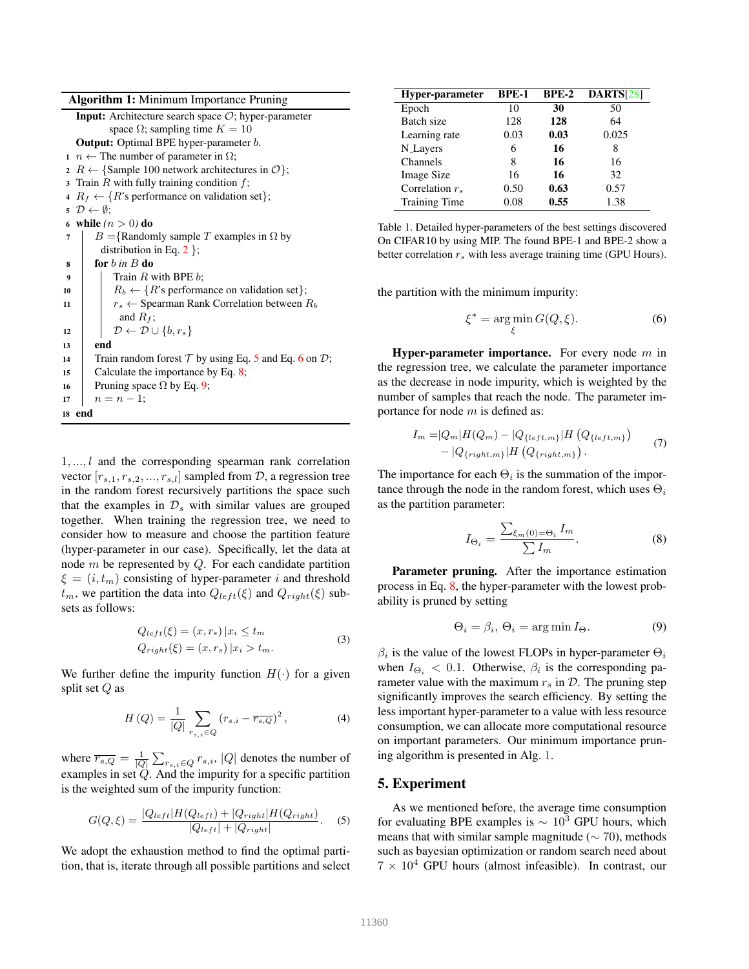Algorithm 1: Minimum Importance Pruning

|                | <b>Input:</b> Architecture search space $O$ ; hyper-parameter          |  |  |  |  |
|----------------|------------------------------------------------------------------------|--|--|--|--|
|                | space $\Omega$ ; sampling time $K = 10$                                |  |  |  |  |
|                | <b>Output:</b> Optimal BPE hyper-parameter <i>b</i> .                  |  |  |  |  |
|                | $n \leftarrow$ The number of parameter in $\Omega$ ;                   |  |  |  |  |
|                | 2 R $\leftarrow$ {Sample 100 network architectures in $\mathcal{O}$ }; |  |  |  |  |
|                | 3 Train $R$ with fully training condition $f$ ;                        |  |  |  |  |
|                | 4 $R_f \leftarrow \{R\$ 's performance on validation set};             |  |  |  |  |
|                | $\mathfrak{s} \mathcal{D} \leftarrow \emptyset$ ;                      |  |  |  |  |
|                | 6 while $(n > 0)$ do                                                   |  |  |  |  |
| $\overline{7}$ | $B = \{$ Randomly sample T examples in $\Omega$ by                     |  |  |  |  |
|                | distribution in Eq. 2 $\}$ ;                                           |  |  |  |  |
| 8              | for $b$ in $B$ do                                                      |  |  |  |  |
| 9              | Train $R$ with BPE $b$ :                                               |  |  |  |  |
| 10             | $R_b \leftarrow \{R\$ s performance on validation set $\};$            |  |  |  |  |
| 11             | $r_s \leftarrow$ Spearman Rank Correlation between $R_b$               |  |  |  |  |
|                | and $R_f$ ;                                                            |  |  |  |  |
| 12             | $\mathcal{D} \leftarrow \mathcal{D} \cup \{b, r_s\}$                   |  |  |  |  |
| 13             | end                                                                    |  |  |  |  |
| 14             | Train random forest $T$ by using Eq. 5 and Eq. 6 on $\mathcal{D}$ ;    |  |  |  |  |
| 15             | Calculate the importance by Eq. $8$ ;                                  |  |  |  |  |
| 16             | Pruning space $\Omega$ by Eq. 9;                                       |  |  |  |  |
| 17             | $n = n - 1$ ;                                                          |  |  |  |  |
|                | 18 end                                                                 |  |  |  |  |

1, ..., l and the corresponding spearman rank correlation vector  $[r_{s,1}, r_{s,2}, ..., r_{s,l}]$  sampled from  $D$ , a regression tree in the random forest recursively partitions the space such that the examples in  $\mathcal{D}_s$  with similar values are grouped together. When training the regression tree, we need to consider how to measure and choose the partition feature (hyper-parameter in our case). Specifically, let the data at node  $m$  be represented by  $Q$ . For each candidate partition  $\xi = (i, t_m)$  consisting of hyper-parameter i and threshold  $t_m$ , we partition the data into  $Q_{left}(\xi)$  and  $Q_{right}(\xi)$  subsets as follows:

$$
Q_{left}(\xi) = (x, r_s) | x_i \le t_m
$$
  
\n
$$
Q_{right}(\xi) = (x, r_s) | x_i > t_m.
$$
\n(3)

We further define the impurity function  $H(\cdot)$  for a given split set  $Q$  as

$$
H(Q) = \frac{1}{|Q|} \sum_{r_{s,i} \in Q} (r_{s,i} - \overline{r_{s,Q}})^2, \tag{4}
$$

where  $\overline{r_{s,Q}} = \frac{1}{|Q|} \sum_{r_{s,i} \in Q} r_{s,i}$ ,  $|Q|$  denotes the number of examples in set  $Q$ . And the impurity for a specific partition is the weighted sum of the impurity function:

$$
G(Q,\xi) = \frac{|Q_{left}|H(Q_{left}) + |Q_{right}|H(Q_{right})}{|Q_{left}| + |Q_{right}|}.
$$
 (5)

We adopt the exhaustion method to find the optimal partition, that is, iterate through all possible partitions and select

| Hyper-parameter      | <b>BPE-1</b> | $BPE-2$ | <b>DARTS[28]</b> |
|----------------------|--------------|---------|------------------|
| Epoch                | 10           | 30      | 50               |
| Batch size           | 128          | 128     | 64               |
| Learning rate        | 0.03         | 0.03    | 0.025            |
| <b>N</b> Layers      | 6            | 16      | 8                |
| Channels             | 8            | 16      | 16               |
| <b>Image Size</b>    | 16           | 16      | 32               |
| Correlation $r_s$    | 0.50         | 0.63    | 0.57             |
| <b>Training Time</b> | 0.08         | 0.55    | 1.38             |

Table 1. Detailed hyper-parameters of the best settings discovered On CIFAR10 by using MIP. The found BPE-1 and BPE-2 show a better correlation  $r_s$  with less average training time (GPU Hours).

the partition with the minimum impurity:

$$
\xi^* = \underset{\xi}{\text{arg min}} \, G(Q, \xi). \tag{6}
$$

**Hyper-parameter importance.** For every node  $m$  in the regression tree, we calculate the parameter importance as the decrease in node impurity, which is weighted by the number of samples that reach the node. The parameter importance for node m is defined as:

$$
I_m = |Q_m|H(Q_m) - |Q_{\{left,m\}\}|H\left(Q_{\{left,m\}\right)}\right) - |Q_{\{right,m\}\}|H\left(Q_{\{right,m\}\right). \tag{7}
$$

The importance for each  $\Theta_i$  is the summation of the importance through the node in the random forest, which uses  $\Theta_i$ as the partition parameter:

$$
I_{\Theta_i} = \frac{\sum_{\xi_m(0) = \Theta_i} I_m}{\sum I_m}.
$$
 (8)

Parameter pruning. After the importance estimation process in Eq. 8, the hyper-parameter with the lowest probability is pruned by setting

$$
\Theta_i = \beta_i, \, \Theta_i = \arg\min I_{\Theta}.\tag{9}
$$

 $\beta_i$  is the value of the lowest FLOPs in hyper-parameter  $\Theta_i$ when  $I_{\Theta_i} < 0.1$ . Otherwise,  $\beta_i$  is the corresponding parameter value with the maximum  $r_s$  in  $\mathcal{D}$ . The pruning step significantly improves the search efficiency. By setting the less important hyper-parameter to a value with less resource consumption, we can allocate more computational resource on important parameters. Our minimum importance pruning algorithm is presented in Alg. 1.

## 5. Experiment

As we mentioned before, the average time consumption for evaluating BPE examples is  $\sim 10^3$  GPU hours, which means that with similar sample magnitude ( $\sim$  70), methods such as bayesian optimization or random search need about  $7 \times 10^4$  GPU hours (almost infeasible). In contrast, our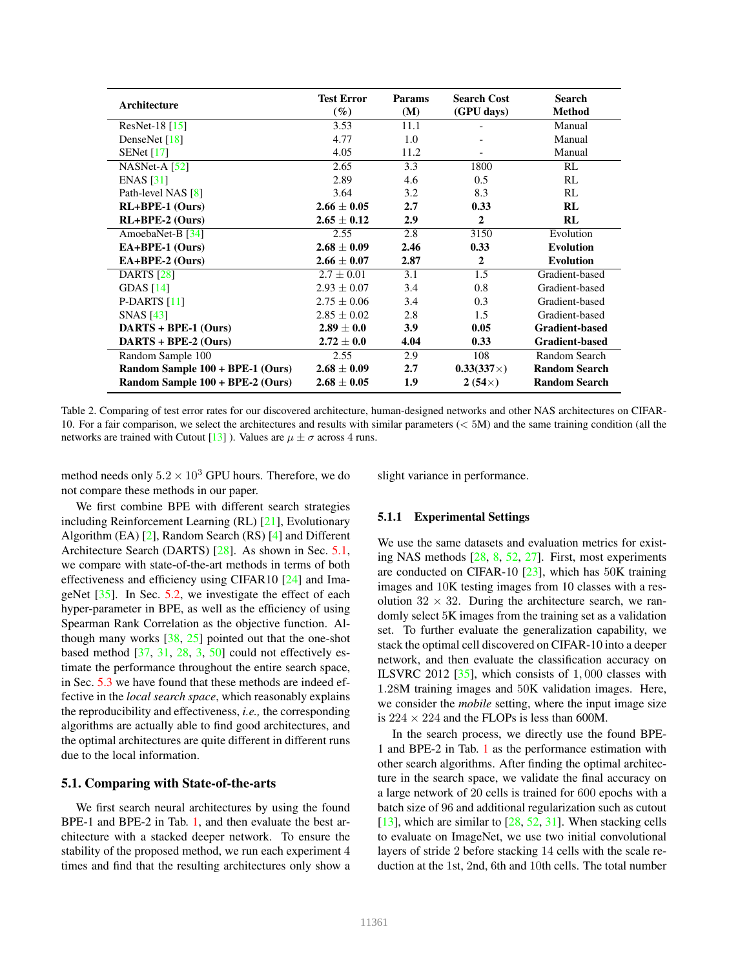| Architecture                     | <b>Test Error</b><br>$(\%)$ | <b>Params</b><br>(M) | <b>Search Cost</b><br>(GPU days) | <b>Search</b><br><b>Method</b> |
|----------------------------------|-----------------------------|----------------------|----------------------------------|--------------------------------|
| ResNet-18 $[15]$                 | 3.53                        | 11.1                 |                                  | Manual                         |
| DenseNet $[18]$                  | 4.77                        | 1.0                  |                                  | Manual                         |
| SENet $[17]$                     | 4.05                        | 11.2                 |                                  | Manual                         |
| $NASNet-A [52]$                  | 2.65                        | 3.3                  | 1800                             | RL                             |
| ENAS [31]                        | 2.89                        | 4.6                  | 0.5                              | RL                             |
| Path-level NAS [8]               | 3.64                        | 3.2                  | 8.3                              | RL                             |
| $RL+BPE-1$ (Ours)                | $2.66 \pm 0.05$             | 2.7                  | 0.33                             | RL                             |
| $RL+BPE-2$ (Ours)                | $2.65 \pm 0.12$             | 2.9                  | $\overline{2}$                   | RL                             |
| AmoebaNet-B [34]                 | 2.55                        | 2.8                  | 3150                             | Evolution                      |
| EA+BPE-1 (Ours)                  | $2.68 \pm 0.09$             | 2.46                 | 0.33                             | <b>Evolution</b>               |
| $EA+BPE-2 (Ours)$                | $2.66 \pm 0.07$             | 2.87                 | $\overline{2}$                   | <b>Evolution</b>               |
| <b>DARTS</b> [28]                | $2.7 \pm 0.01$              | 3.1                  | 1.5                              | Gradient-based                 |
| GDAS $[14]$                      | $2.93 \pm 0.07$             | 3.4                  | 0.8                              | Gradient-based                 |
| P-DARTS $[11]$                   | $2.75 \pm 0.06$             | 3.4                  | 0.3                              | Gradient-based                 |
| <b>SNAS</b> [43]                 | $2.85 \pm 0.02$             | 2.8                  | 1.5                              | Gradient-based                 |
| $DARTS + BPE-1 (Ours)$           | $2.89 \pm 0.0$              | 3.9                  | 0.05                             | <b>Gradient-based</b>          |
| $DARTS + BPE-2 (Ours)$           | $2.72 \pm 0.0$              | 4.04                 | 0.33                             | <b>Gradient-based</b>          |
| Random Sample 100                | 2.55                        | 2.9                  | 108                              | Random Search                  |
| Random Sample 100 + BPE-1 (Ours) | $2.68 \pm 0.09$             | 2.7                  | $0.33(337\times)$                | <b>Random Search</b>           |
| Random Sample 100 + BPE-2 (Ours) | $2.68 \pm 0.05$             | 1.9                  | $2(54\times)$                    | <b>Random Search</b>           |

Table 2. Comparing of test error rates for our discovered architecture, human-designed networks and other NAS architectures on CIFAR-10. For a fair comparison, we select the architectures and results with similar parameters (< 5M) and the same training condition (all the networks are trained with Cutout [13] ). Values are  $\mu \pm \sigma$  across 4 runs.

method needs only  $5.2 \times 10^3$  GPU hours. Therefore, we do not compare these methods in our paper.

slight variance in performance.

We first combine BPE with different search strategies including Reinforcement Learning (RL) [21], Evolutionary Algorithm (EA) [2], Random Search (RS) [4] and Different Architecture Search (DARTS) [28]. As shown in Sec. 5.1, we compare with state-of-the-art methods in terms of both effectiveness and efficiency using CIFAR10 [24] and ImageNet  $[35]$ . In Sec. 5.2, we investigate the effect of each hyper-parameter in BPE, as well as the efficiency of using Spearman Rank Correlation as the objective function. Although many works  $[38, 25]$  pointed out that the one-shot based method [37, 31, 28, 3, 50] could not effectively estimate the performance throughout the entire search space, in Sec. 5.3 we have found that these methods are indeed effective in the *local search space*, which reasonably explains the reproducibility and effectiveness, *i.e.,* the corresponding algorithms are actually able to find good architectures, and the optimal architectures are quite different in different runs due to the local information.

## 5.1. Comparing with State-of-the-arts

We first search neural architectures by using the found BPE-1 and BPE-2 in Tab. 1, and then evaluate the best architecture with a stacked deeper network. To ensure the stability of the proposed method, we run each experiment 4 times and find that the resulting architectures only show a

## 5.1.1 Experimental Settings

We use the same datasets and evaluation metrics for existing NAS methods [28, 8, 52, 27]. First, most experiments are conducted on CIFAR-10 [23], which has 50K training images and 10K testing images from 10 classes with a resolution  $32 \times 32$ . During the architecture search, we randomly select 5K images from the training set as a validation set. To further evaluate the generalization capability, we stack the optimal cell discovered on CIFAR-10 into a deeper network, and then evaluate the classification accuracy on ILSVRC 2012 [35], which consists of 1, 000 classes with 1.28M training images and 50K validation images. Here, we consider the *mobile* setting, where the input image size is  $224 \times 224$  and the FLOPs is less than 600M.

In the search process, we directly use the found BPE-1 and BPE-2 in Tab. 1 as the performance estimation with other search algorithms. After finding the optimal architecture in the search space, we validate the final accuracy on a large network of 20 cells is trained for 600 epochs with a batch size of 96 and additional regularization such as cutout  $[13]$ , which are similar to  $[28, 52, 31]$ . When stacking cells to evaluate on ImageNet, we use two initial convolutional layers of stride 2 before stacking 14 cells with the scale reduction at the 1st, 2nd, 6th and 10th cells. The total number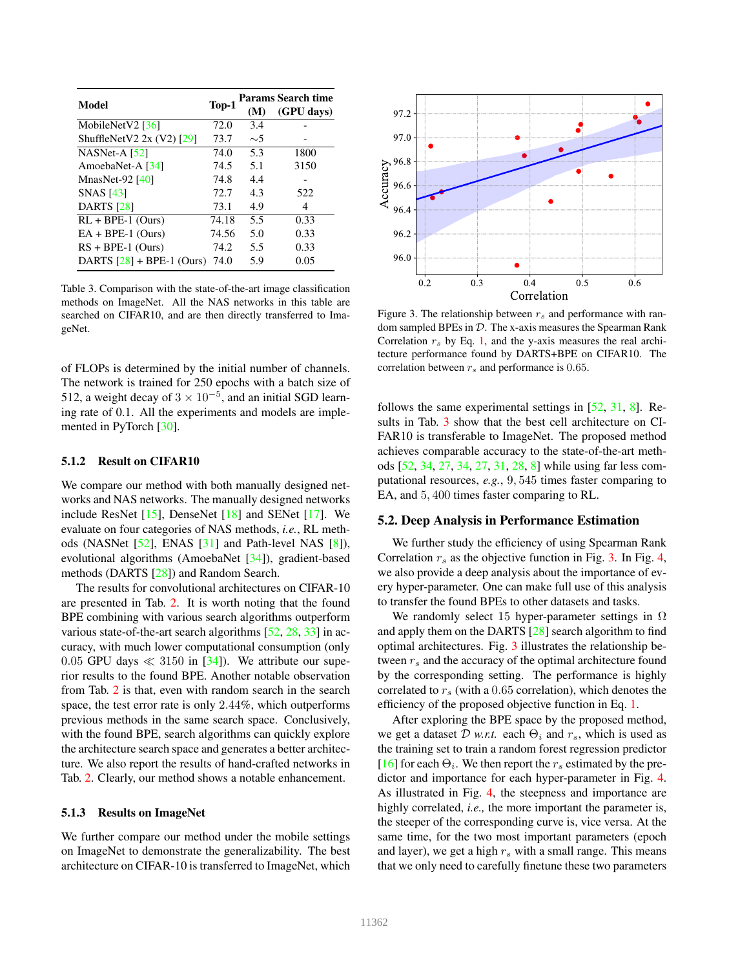|                             |       | <b>Params Search time</b> |            |  |
|-----------------------------|-------|---------------------------|------------|--|
| Model                       | Top-1 | (M)                       | (GPU days) |  |
| MobileNetV2 $[36]$          | 72.0  | 3.4                       |            |  |
| ShuffleNetV2 $2x (V2)$ [29] | 73.7  | $\sim$ 5                  |            |  |
| $NASNet-A$ [52]             | 74.0  | 5.3                       | 1800       |  |
| AmoebaNet-A [34]            | 74.5  | 5.1                       | 3150       |  |
| MnasNet-92 $[40]$           | 74.8  | 4.4                       |            |  |
| <b>SNAS</b> [43]            | 72.7  | 4.3                       | 522        |  |
| <b>DARTS</b> [28]           | 73.1  | 4.9                       | 4          |  |
| $RL + BPE-1$ (Ours)         | 74.18 | 5.5                       | 0.33       |  |
| $EA + BPE-1$ (Ours)         | 74.56 | 5.0                       | 0.33       |  |
| $RS + BPE-1$ (Ours)         | 74.2  | 5.5                       | 0.33       |  |
| DARTS $[28]$ + BPE-1 (Ours) | 74.0  | 5.9                       | 0.05       |  |

Table 3. Comparison with the state-of-the-art image classification methods on ImageNet. All the NAS networks in this table are searched on CIFAR10, and are then directly transferred to ImageNet.

of FLOPs is determined by the initial number of channels. The network is trained for 250 epochs with a batch size of 512, a weight decay of  $3 \times 10^{-5}$ , and an initial SGD learning rate of 0.1. All the experiments and models are implemented in PyTorch [30].

#### 5.1.2 Result on CIFAR10

We compare our method with both manually designed networks and NAS networks. The manually designed networks include ResNet [15], DenseNet [18] and SENet [17]. We evaluate on four categories of NAS methods, *i.e.*, RL methods (NASNet [52], ENAS [31] and Path-level NAS [8]), evolutional algorithms (AmoebaNet [34]), gradient-based methods (DARTS [28]) and Random Search.

The results for convolutional architectures on CIFAR-10 are presented in Tab. 2. It is worth noting that the found BPE combining with various search algorithms outperform various state-of-the-art search algorithms [52, 28, 33] in accuracy, with much lower computational consumption (only 0.05 GPU days  $\ll$  3150 in [34]). We attribute our superior results to the found BPE. Another notable observation from Tab. 2 is that, even with random search in the search space, the test error rate is only 2.44%, which outperforms previous methods in the same search space. Conclusively, with the found BPE, search algorithms can quickly explore the architecture search space and generates a better architecture. We also report the results of hand-crafted networks in Tab. 2. Clearly, our method shows a notable enhancement.

#### 5.1.3 Results on ImageNet

We further compare our method under the mobile settings on ImageNet to demonstrate the generalizability. The best architecture on CIFAR-10 is transferred to ImageNet, which



Figure 3. The relationship between  $r_s$  and performance with random sampled BPEs in  $D$ . The x-axis measures the Spearman Rank Correlation  $r<sub>s</sub>$  by Eq. 1, and the y-axis measures the real architecture performance found by DARTS+BPE on CIFAR10. The correlation between  $r_s$  and performance is 0.65.

follows the same experimental settings in [52, 31, 8]. Results in Tab. 3 show that the best cell architecture on CI-FAR10 is transferable to ImageNet. The proposed method achieves comparable accuracy to the state-of-the-art methods [52, 34, 27, 34, 27, 31, 28, 8] while using far less computational resources, *e.g.*, 9, 545 times faster comparing to EA, and 5, 400 times faster comparing to RL.

#### 5.2. Deep Analysis in Performance Estimation

We further study the efficiency of using Spearman Rank Correlation  $r<sub>s</sub>$  as the objective function in Fig. 3. In Fig. 4, we also provide a deep analysis about the importance of every hyper-parameter. One can make full use of this analysis to transfer the found BPEs to other datasets and tasks.

We randomly select 15 hyper-parameter settings in  $\Omega$ and apply them on the DARTS [28] search algorithm to find optimal architectures. Fig. 3 illustrates the relationship between  $r_s$  and the accuracy of the optimal architecture found by the corresponding setting. The performance is highly correlated to  $r<sub>s</sub>$  (with a 0.65 correlation), which denotes the efficiency of the proposed objective function in Eq. 1.

After exploring the BPE space by the proposed method, we get a dataset  $\mathcal D$  *w.r.t.* each  $\Theta_i$  and  $r_s$ , which is used as the training set to train a random forest regression predictor [16] for each  $\Theta_i$ . We then report the  $r_s$  estimated by the predictor and importance for each hyper-parameter in Fig. 4. As illustrated in Fig. 4, the steepness and importance are highly correlated, *i.e.,* the more important the parameter is, the steeper of the corresponding curve is, vice versa. At the same time, for the two most important parameters (epoch and layer), we get a high  $r<sub>s</sub>$  with a small range. This means that we only need to carefully finetune these two parameters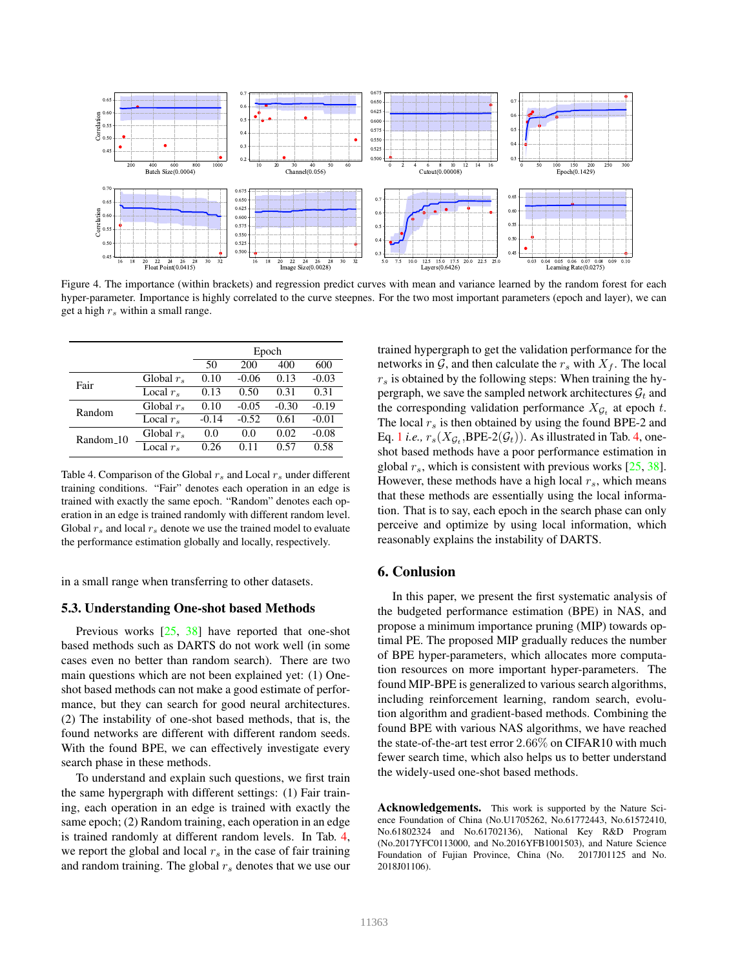

Figure 4. The importance (within brackets) and regression predict curves with mean and variance learned by the random forest for each hyper-parameter. Importance is highly correlated to the curve steepnes. For the two most important parameters (epoch and layer), we can get a high  $r_s$  within a small range.

|                       |                   | Epoch   |         |         |         |
|-----------------------|-------------------|---------|---------|---------|---------|
|                       |                   | 50      | 200     | 400     | 600     |
| Fair                  | Global $r_s$      | 0.10    | $-0.06$ | 0.13    | $-0.03$ |
|                       | Local $r_s$       | 0.13    | 0.50    | 0.31    | 0.31    |
| Random                | Global $r_s$      | 0.10    | $-0.05$ | $-0.30$ | $-0.19$ |
|                       | Local $r_s$       | $-0.14$ | $-0.52$ | 0.61    | $-0.01$ |
| Random <sub>-10</sub> | Global $r_s$      | 0.0     | 0.0     | 0.02    | $-0.08$ |
|                       | Local $r_{\rm s}$ | 0.26    | 0.11    | 0.57    | 0.58    |

Table 4. Comparison of the Global  $r_s$  and Local  $r_s$  under different training conditions. "Fair" denotes each operation in an edge is trained with exactly the same epoch. "Random" denotes each operation in an edge is trained randomly with different random level. Global  $r_s$  and local  $r_s$  denote we use the trained model to evaluate the performance estimation globally and locally, respectively.

in a small range when transferring to other datasets.

# 5.3. Understanding One-shot based Methods

Previous works [25, 38] have reported that one-shot based methods such as DARTS do not work well (in some cases even no better than random search). There are two main questions which are not been explained yet: (1) Oneshot based methods can not make a good estimate of performance, but they can search for good neural architectures. (2) The instability of one-shot based methods, that is, the found networks are different with different random seeds. With the found BPE, we can effectively investigate every search phase in these methods.

To understand and explain such questions, we first train the same hypergraph with different settings: (1) Fair training, each operation in an edge is trained with exactly the same epoch; (2) Random training, each operation in an edge is trained randomly at different random levels. In Tab. 4, we report the global and local  $r<sub>s</sub>$  in the case of fair training and random training. The global  $r<sub>s</sub>$  denotes that we use our trained hypergraph to get the validation performance for the networks in  $\mathcal{G}$ , and then calculate the  $r_s$  with  $X_f$ . The local  $r<sub>s</sub>$  is obtained by the following steps: When training the hypergraph, we save the sampled network architectures  $\mathcal{G}_t$  and the corresponding validation performance  $X_{\mathcal{G}_t}$  at epoch t. The local  $r<sub>s</sub>$  is then obtained by using the found BPE-2 and Eq. 1 *i.e.,*  $r_s(X_{\mathcal{G}_t},\mathsf{BPE-2}(\mathcal{G}_t))$ . As illustrated in Tab. 4, oneshot based methods have a poor performance estimation in global  $r_s$ , which is consistent with previous works [25, 38]. However, these methods have a high local  $r<sub>s</sub>$ , which means that these methods are essentially using the local information. That is to say, each epoch in the search phase can only perceive and optimize by using local information, which reasonably explains the instability of DARTS.

# 6. Conlusion

In this paper, we present the first systematic analysis of the budgeted performance estimation (BPE) in NAS, and propose a minimum importance pruning (MIP) towards optimal PE. The proposed MIP gradually reduces the number of BPE hyper-parameters, which allocates more computation resources on more important hyper-parameters. The found MIP-BPE is generalized to various search algorithms, including reinforcement learning, random search, evolution algorithm and gradient-based methods. Combining the found BPE with various NAS algorithms, we have reached the state-of-the-art test error 2.66% on CIFAR10 with much fewer search time, which also helps us to better understand the widely-used one-shot based methods.

Acknowledgements. This work is supported by the Nature Science Foundation of China (No.U1705262, No.61772443, No.61572410, No.61802324 and No.61702136), National Key R&D Program (No.2017YFC0113000, and No.2016YFB1001503), and Nature Science Foundation of Fujian Province, China (No. 2017J01125 and No. 2018J01106).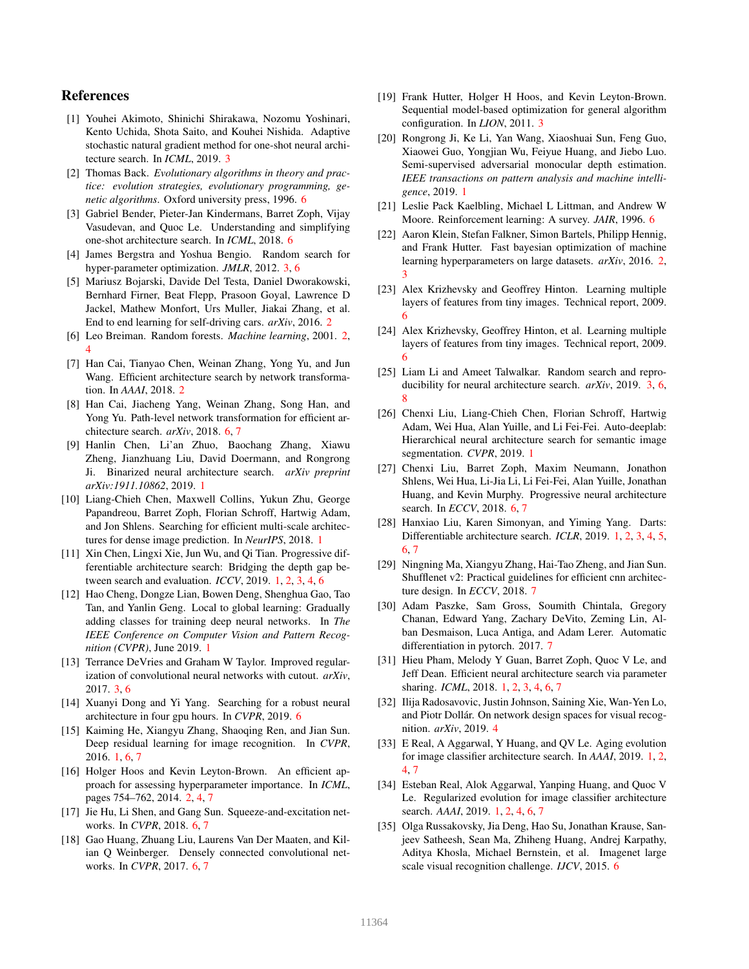# References

- [1] Youhei Akimoto, Shinichi Shirakawa, Nozomu Yoshinari, Kento Uchida, Shota Saito, and Kouhei Nishida. Adaptive stochastic natural gradient method for one-shot neural architecture search. In *ICML*, 2019. 3
- [2] Thomas Back. *Evolutionary algorithms in theory and practice: evolution strategies, evolutionary programming, genetic algorithms*. Oxford university press, 1996. 6
- [3] Gabriel Bender, Pieter-Jan Kindermans, Barret Zoph, Vijay Vasudevan, and Quoc Le. Understanding and simplifying one-shot architecture search. In *ICML*, 2018. 6
- [4] James Bergstra and Yoshua Bengio. Random search for hyper-parameter optimization. *JMLR*, 2012. 3, 6
- [5] Mariusz Bojarski, Davide Del Testa, Daniel Dworakowski, Bernhard Firner, Beat Flepp, Prasoon Goyal, Lawrence D Jackel, Mathew Monfort, Urs Muller, Jiakai Zhang, et al. End to end learning for self-driving cars. *arXiv*, 2016. 2
- [6] Leo Breiman. Random forests. *Machine learning*, 2001. 2, 4
- [7] Han Cai, Tianyao Chen, Weinan Zhang, Yong Yu, and Jun Wang. Efficient architecture search by network transformation. In *AAAI*, 2018. 2
- [8] Han Cai, Jiacheng Yang, Weinan Zhang, Song Han, and Yong Yu. Path-level network transformation for efficient architecture search. *arXiv*, 2018. 6, 7
- [9] Hanlin Chen, Li'an Zhuo, Baochang Zhang, Xiawu Zheng, Jianzhuang Liu, David Doermann, and Rongrong Ji. Binarized neural architecture search. *arXiv preprint arXiv:1911.10862*, 2019. 1
- [10] Liang-Chieh Chen, Maxwell Collins, Yukun Zhu, George Papandreou, Barret Zoph, Florian Schroff, Hartwig Adam, and Jon Shlens. Searching for efficient multi-scale architectures for dense image prediction. In *NeurIPS*, 2018. 1
- [11] Xin Chen, Lingxi Xie, Jun Wu, and Qi Tian. Progressive differentiable architecture search: Bridging the depth gap between search and evaluation. *ICCV*, 2019. 1, 2, 3, 4, 6
- [12] Hao Cheng, Dongze Lian, Bowen Deng, Shenghua Gao, Tao Tan, and Yanlin Geng. Local to global learning: Gradually adding classes for training deep neural networks. In *The IEEE Conference on Computer Vision and Pattern Recognition (CVPR)*, June 2019. 1
- [13] Terrance DeVries and Graham W Taylor. Improved regularization of convolutional neural networks with cutout. *arXiv*, 2017. 3, 6
- [14] Xuanyi Dong and Yi Yang. Searching for a robust neural architecture in four gpu hours. In *CVPR*, 2019. 6
- [15] Kaiming He, Xiangyu Zhang, Shaoqing Ren, and Jian Sun. Deep residual learning for image recognition. In *CVPR*, 2016. 1, 6, 7
- [16] Holger Hoos and Kevin Leyton-Brown. An efficient approach for assessing hyperparameter importance. In *ICML*, pages 754–762, 2014. 2, 4, 7
- [17] Jie Hu, Li Shen, and Gang Sun. Squeeze-and-excitation networks. In *CVPR*, 2018. 6, 7
- [18] Gao Huang, Zhuang Liu, Laurens Van Der Maaten, and Kilian Q Weinberger. Densely connected convolutional networks. In *CVPR*, 2017. 6, 7
- [19] Frank Hutter, Holger H Hoos, and Kevin Leyton-Brown. Sequential model-based optimization for general algorithm configuration. In *LION*, 2011. 3
- [20] Rongrong Ji, Ke Li, Yan Wang, Xiaoshuai Sun, Feng Guo, Xiaowei Guo, Yongjian Wu, Feiyue Huang, and Jiebo Luo. Semi-supervised adversarial monocular depth estimation. *IEEE transactions on pattern analysis and machine intelligence*, 2019. 1
- [21] Leslie Pack Kaelbling, Michael L Littman, and Andrew W Moore. Reinforcement learning: A survey. *JAIR*, 1996. 6
- [22] Aaron Klein, Stefan Falkner, Simon Bartels, Philipp Hennig, and Frank Hutter. Fast bayesian optimization of machine learning hyperparameters on large datasets. *arXiv*, 2016. 2, 3
- [23] Alex Krizhevsky and Geoffrey Hinton. Learning multiple layers of features from tiny images. Technical report, 2009. 6
- [24] Alex Krizhevsky, Geoffrey Hinton, et al. Learning multiple layers of features from tiny images. Technical report, 2009. 6
- [25] Liam Li and Ameet Talwalkar. Random search and reproducibility for neural architecture search. *arXiv*, 2019. 3, 6, 8
- [26] Chenxi Liu, Liang-Chieh Chen, Florian Schroff, Hartwig Adam, Wei Hua, Alan Yuille, and Li Fei-Fei. Auto-deeplab: Hierarchical neural architecture search for semantic image segmentation. *CVPR*, 2019. 1
- [27] Chenxi Liu, Barret Zoph, Maxim Neumann, Jonathon Shlens, Wei Hua, Li-Jia Li, Li Fei-Fei, Alan Yuille, Jonathan Huang, and Kevin Murphy. Progressive neural architecture search. In *ECCV*, 2018. 6, 7
- [28] Hanxiao Liu, Karen Simonyan, and Yiming Yang. Darts: Differentiable architecture search. *ICLR*, 2019. 1, 2, 3, 4, 5, 6, 7
- [29] Ningning Ma, Xiangyu Zhang, Hai-Tao Zheng, and Jian Sun. Shufflenet v2: Practical guidelines for efficient cnn architecture design. In *ECCV*, 2018. 7
- [30] Adam Paszke, Sam Gross, Soumith Chintala, Gregory Chanan, Edward Yang, Zachary DeVito, Zeming Lin, Alban Desmaison, Luca Antiga, and Adam Lerer. Automatic differentiation in pytorch. 2017. 7
- [31] Hieu Pham, Melody Y Guan, Barret Zoph, Quoc V Le, and Jeff Dean. Efficient neural architecture search via parameter sharing. *ICML*, 2018. 1, 2, 3, 4, 6, 7
- [32] Ilija Radosavovic, Justin Johnson, Saining Xie, Wan-Yen Lo, and Piotr Dollár. On network design spaces for visual recognition. *arXiv*, 2019. 4
- [33] E Real, A Aggarwal, Y Huang, and QV Le. Aging evolution for image classifier architecture search. In *AAAI*, 2019. 1, 2, 4, 7
- [34] Esteban Real, Alok Aggarwal, Yanping Huang, and Quoc V Le. Regularized evolution for image classifier architecture search. *AAAI*, 2019. 1, 2, 4, 6, 7
- [35] Olga Russakovsky, Jia Deng, Hao Su, Jonathan Krause, Sanjeev Satheesh, Sean Ma, Zhiheng Huang, Andrej Karpathy, Aditya Khosla, Michael Bernstein, et al. Imagenet large scale visual recognition challenge. *IJCV*, 2015. 6